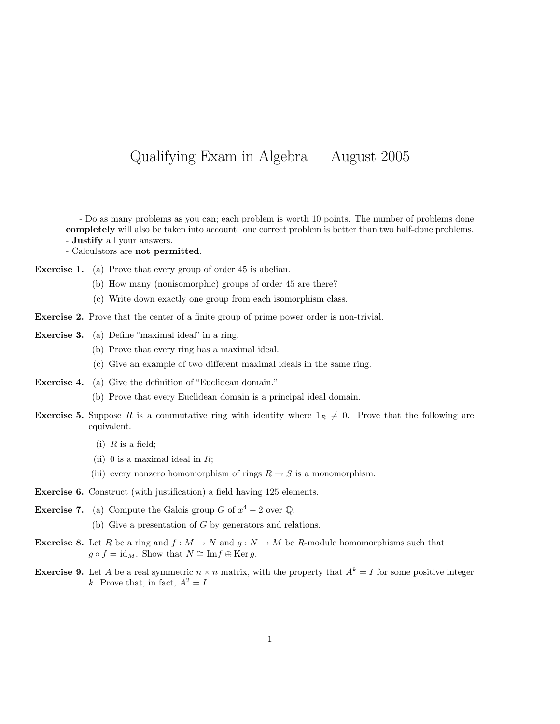## Qualifying Exam in Algebra August 2005

- Do as many problems as you can; each problem is worth 10 points. The number of problems done completely will also be taken into account: one correct problem is better than two half-done problems. - Justify all your answers.

- Calculators are not permitted.

Exercise 1. (a) Prove that every group of order 45 is abelian.

- (b) How many (nonisomorphic) groups of order 45 are there?
- (c) Write down exactly one group from each isomorphism class.
- Exercise 2. Prove that the center of a finite group of prime power order is non-trivial.
- Exercise 3. (a) Define "maximal ideal" in a ring.
	- (b) Prove that every ring has a maximal ideal.
	- (c) Give an example of two different maximal ideals in the same ring.
- Exercise 4. (a) Give the definition of "Euclidean domain."
	- (b) Prove that every Euclidean domain is a principal ideal domain.
- **Exercise 5.** Suppose R is a commutative ring with identity where  $1_R \neq 0$ . Prove that the following are equivalent.
	- (i)  $R$  is a field;
	- (ii) 0 is a maximal ideal in  $R$ ;
	- (iii) every nonzero homomorphism of rings  $R \to S$  is a monomorphism.
- Exercise 6. Construct (with justification) a field having 125 elements.
- **Exercise 7.** (a) Compute the Galois group G of  $x^4 2$  over Q. (b) Give a presentation of G by generators and relations.
- **Exercise 8.** Let R be a ring and  $f : M \to N$  and  $g : N \to M$  be R-module homomorphisms such that  $g \circ f = id_M$ . Show that  $N \cong \text{Im} f \oplus \text{Ker } g$ .
- **Exercise 9.** Let A be a real symmetric  $n \times n$  matrix, with the property that  $A^k = I$  for some positive integer k. Prove that, in fact,  $A^2 = I$ .